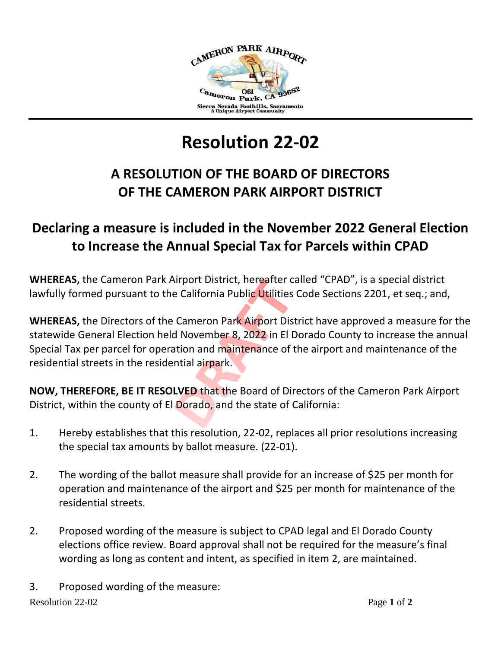

## **Resolution 22-02**

## **A RESOLUTION OF THE BOARD OF DIRECTORS OF THE CAMERON PARK AIRPORT DISTRICT**

## **Declaring a measure is included in the November 2022 General Election to Increase the Annual Special Tax for Parcels within CPAD**

**WHEREAS,** the Cameron Park Airport District, hereafter called "CPAD", is a special district lawfully formed pursuant to the California Public Utilities Code Sections 2201, et seq.; and,

**WHEREAS,** the Directors of the Cameron Park Airport District have approved a measure for the statewide General Election held November 8, 2022 in El Dorado County to increase the annual Special Tax per parcel for operation and maintenance of the airport and maintenance of the residential streets in the residential airpark.

**NOW, THEREFORE, BE IT RESOLVED** that the Board of Directors of the Cameron Park Airport District, within the county of El Dorado, and the state of California:

- 1. Hereby establishes that this resolution, 22-02, replaces all prior resolutions increasing the special tax amounts by ballot measure. (22-01).
- 2. The wording of the ballot measure shall provide for an increase of \$25 per month for operation and maintenance of the airport and \$25 per month for maintenance of the residential streets.
- 2. Proposed wording of the measure is subject to CPAD legal and El Dorado County elections office review. Board approval shall not be required for the measure's final wording as long as content and intent, as specified in item 2, are maintained.

Resolution 22-02 Page **1** of **2** 3. Proposed wording of the measure: